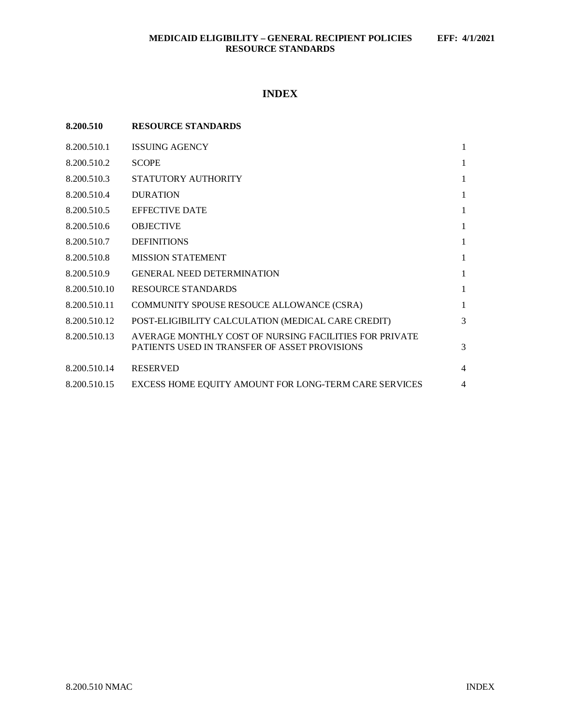# **INDEX**

| 8.200.510    | <b>RESOURCE STANDARDS</b>                                                                               |                |
|--------------|---------------------------------------------------------------------------------------------------------|----------------|
| 8.200.510.1  | <b>ISSUING AGENCY</b>                                                                                   | 1              |
| 8.200.510.2  | <b>SCOPE</b>                                                                                            | 1              |
| 8.200.510.3  | STATUTORY AUTHORITY                                                                                     | 1              |
| 8.200.510.4  | <b>DURATION</b>                                                                                         | 1              |
| 8.200.510.5  | <b>EFFECTIVE DATE</b>                                                                                   | 1              |
| 8.200.510.6  | <b>OBJECTIVE</b>                                                                                        | 1              |
| 8.200.510.7  | <b>DEFINITIONS</b>                                                                                      | 1              |
| 8.200.510.8  | <b>MISSION STATEMENT</b>                                                                                | 1              |
| 8.200.510.9  | <b>GENERAL NEED DETERMINATION</b>                                                                       | 1              |
| 8.200.510.10 | <b>RESOURCE STANDARDS</b>                                                                               | 1              |
| 8.200.510.11 | COMMUNITY SPOUSE RESOUCE ALLOWANCE (CSRA)                                                               | 1              |
| 8.200.510.12 | POST-ELIGIBILITY CALCULATION (MEDICAL CARE CREDIT)                                                      | 3              |
| 8.200.510.13 | AVERAGE MONTHLY COST OF NURSING FACILITIES FOR PRIVATE<br>PATIENTS USED IN TRANSFER OF ASSET PROVISIONS | 3              |
| 8.200.510.14 | <b>RESERVED</b>                                                                                         | $\overline{4}$ |
| 8.200.510.15 | EXCESS HOME EQUITY AMOUNT FOR LONG-TERM CARE SERVICES                                                   | 4              |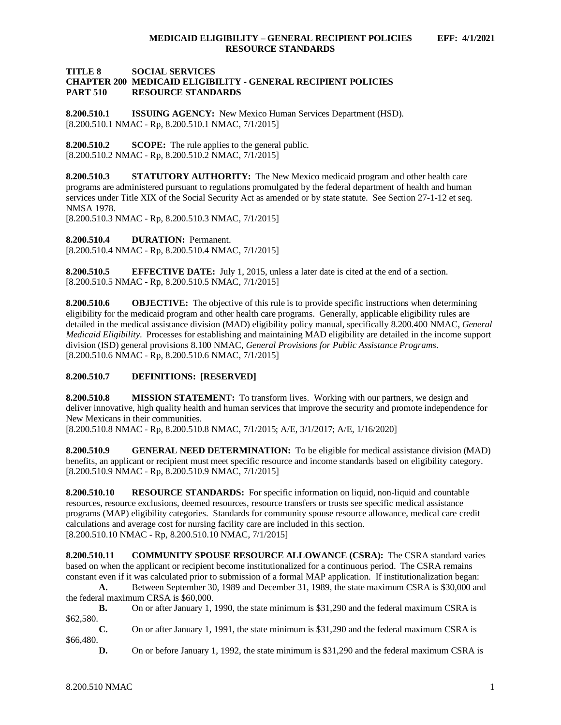#### **TITLE 8 SOCIAL SERVICES CHAPTER 200 MEDICAID ELIGIBILITY - GENERAL RECIPIENT POLICIES RESOURCE STANDARDS**

<span id="page-1-0"></span>**8.200.510.1 ISSUING AGENCY:** New Mexico Human Services Department (HSD). [8.200.510.1 NMAC - Rp, 8.200.510.1 NMAC, 7/1/2015]

<span id="page-1-1"></span>**8.200.510.2 SCOPE:** The rule applies to the general public. [8.200.510.2 NMAC - Rp, 8.200.510.2 NMAC, 7/1/2015]

<span id="page-1-2"></span>**8.200.510.3 STATUTORY AUTHORITY:** The New Mexico medicaid program and other health care programs are administered pursuant to regulations promulgated by the federal department of health and human services under Title XIX of the Social Security Act as amended or by state statute. See Section 27-1-12 et seq. NMSA 1978.

[8.200.510.3 NMAC - Rp, 8.200.510.3 NMAC, 7/1/2015]

<span id="page-1-3"></span>**8.200.510.4 DURATION:** Permanent. [8.200.510.4 NMAC - Rp, 8.200.510.4 NMAC, 7/1/2015]

<span id="page-1-4"></span>**8.200.510.5 EFFECTIVE DATE:** July 1, 2015, unless a later date is cited at the end of a section. [8.200.510.5 NMAC - Rp, 8.200.510.5 NMAC, 7/1/2015]

<span id="page-1-5"></span>**8.200.510.6 OBJECTIVE:** The objective of this rule is to provide specific instructions when determining eligibility for the medicaid program and other health care programs. Generally, applicable eligibility rules are detailed in the medical assistance division (MAD) eligibility policy manual, specifically 8.200.400 NMAC, *General Medicaid Eligibility*. Processes for establishing and maintaining MAD eligibility are detailed in the income support division (ISD) general provisions 8.100 NMAC, *General Provisions for Public Assistance Programs*. [8.200.510.6 NMAC - Rp, 8.200.510.6 NMAC, 7/1/2015]

<span id="page-1-6"></span>**8.200.510.7 DEFINITIONS: [RESERVED]**

<span id="page-1-7"></span>**8.200.510.8 MISSION STATEMENT:** To transform lives. Working with our partners, we design and deliver innovative, high quality health and human services that improve the security and promote independence for New Mexicans in their communities.

[8.200.510.8 NMAC - Rp, 8.200.510.8 NMAC, 7/1/2015; A/E, 3/1/2017; A/E, 1/16/2020]

<span id="page-1-8"></span>**8.200.510.9 GENERAL NEED DETERMINATION:** To be eligible for medical assistance division (MAD) benefits, an applicant or recipient must meet specific resource and income standards based on eligibility category. [8.200.510.9 NMAC - Rp, 8.200.510.9 NMAC, 7/1/2015]

<span id="page-1-9"></span>**8.200.510.10 RESOURCE STANDARDS:** For specific information on liquid, non-liquid and countable resources, resource exclusions, deemed resources, resource transfers or trusts see specific medical assistance programs (MAP) eligibility categories. Standards for community spouse resource allowance, medical care credit calculations and average cost for nursing facility care are included in this section. [8.200.510.10 NMAC - Rp, 8.200.510.10 NMAC, 7/1/2015]

<span id="page-1-10"></span>**8.200.510.11 COMMUNITY SPOUSE RESOURCE ALLOWANCE (CSRA):** The CSRA standard varies based on when the applicant or recipient become institutionalized for a continuous period. The CSRA remains constant even if it was calculated prior to submission of a formal MAP application. If institutionalization began:

**A.** Between September 30, 1989 and December 31, 1989, the state maximum CSRA is \$30,000 and the federal maximum CRSA is \$60,000.

**B.** On or after January 1, 1990, the state minimum is \$31,290 and the federal maximum CSRA is \$62,580.

**C.** On or after January 1, 1991, the state minimum is \$31,290 and the federal maximum CSRA is \$66,480.

**D.** On or before January 1, 1992, the state minimum is \$31,290 and the federal maximum CSRA is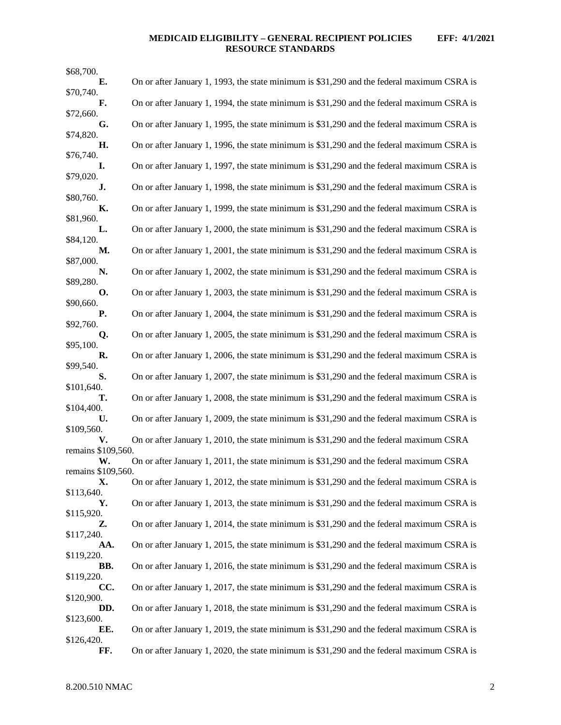# **MEDICAID ELIGIBILITY – GENERAL RECIPIENT POLICIES EFF: 4/1/2021 RESOURCE STANDARDS**

| \$68,700.                |                                                                                            |
|--------------------------|--------------------------------------------------------------------------------------------|
| Е.                       | On or after January 1, 1993, the state minimum is \$31,290 and the federal maximum CSRA is |
| \$70,740.<br>F.          | On or after January 1, 1994, the state minimum is \$31,290 and the federal maximum CSRA is |
| \$72,660.<br>G.          | On or after January 1, 1995, the state minimum is \$31,290 and the federal maximum CSRA is |
| \$74,820.                |                                                                                            |
| Η.<br>\$76,740.          | On or after January 1, 1996, the state minimum is \$31,290 and the federal maximum CSRA is |
| I.<br>\$79,020.          | On or after January 1, 1997, the state minimum is \$31,290 and the federal maximum CSRA is |
| J.                       | On or after January 1, 1998, the state minimum is \$31,290 and the federal maximum CSRA is |
| \$80,760.<br>К.          | On or after January 1, 1999, the state minimum is \$31,290 and the federal maximum CSRA is |
| \$81,960.<br>L.          | On or after January 1, 2000, the state minimum is \$31,290 and the federal maximum CSRA is |
| \$84,120.<br>M.          |                                                                                            |
| \$87,000.                | On or after January 1, 2001, the state minimum is \$31,290 and the federal maximum CSRA is |
| N.<br>\$89,280.          | On or after January 1, 2002, the state minimum is \$31,290 and the federal maximum CSRA is |
| О.<br>\$90,660.          | On or after January 1, 2003, the state minimum is \$31,290 and the federal maximum CSRA is |
| Р.                       | On or after January 1, 2004, the state minimum is \$31,290 and the federal maximum CSRA is |
| \$92,760.<br>Q.          | On or after January 1, 2005, the state minimum is \$31,290 and the federal maximum CSRA is |
| \$95,100.<br>R.          | On or after January 1, 2006, the state minimum is \$31,290 and the federal maximum CSRA is |
| \$99,540.                |                                                                                            |
| S.<br>\$101,640.         | On or after January 1, 2007, the state minimum is \$31,290 and the federal maximum CSRA is |
| т.<br>\$104,400.         | On or after January 1, 2008, the state minimum is \$31,290 and the federal maximum CSRA is |
| U.                       | On or after January 1, 2009, the state minimum is \$31,290 and the federal maximum CSRA is |
| \$109,560.<br>V.         | On or after January 1, 2010, the state minimum is \$31,290 and the federal maximum CSRA    |
| remains \$109,560.<br>W. | On or after January 1, 2011, the state minimum is \$31,290 and the federal maximum CSRA    |
| remains \$109,560.<br>X. | On or after January 1, 2012, the state minimum is \$31,290 and the federal maximum CSRA is |
| \$113,640.               |                                                                                            |
| Υ.<br>\$115,920.         | On or after January 1, 2013, the state minimum is \$31,290 and the federal maximum CSRA is |
| Z.<br>\$117,240.         | On or after January 1, 2014, the state minimum is \$31,290 and the federal maximum CSRA is |
| AA.                      | On or after January 1, 2015, the state minimum is \$31,290 and the federal maximum CSRA is |
| \$119,220.<br>BB.        | On or after January 1, 2016, the state minimum is \$31,290 and the federal maximum CSRA is |
| \$119,220.<br>CC.        | On or after January 1, 2017, the state minimum is \$31,290 and the federal maximum CSRA is |
| \$120,900.               |                                                                                            |
| DD.<br>\$123,600.        | On or after January 1, 2018, the state minimum is \$31,290 and the federal maximum CSRA is |
| EE.<br>\$126,420.        | On or after January 1, 2019, the state minimum is \$31,290 and the federal maximum CSRA is |
| FF.                      | On or after January 1, 2020, the state minimum is \$31,290 and the federal maximum CSRA is |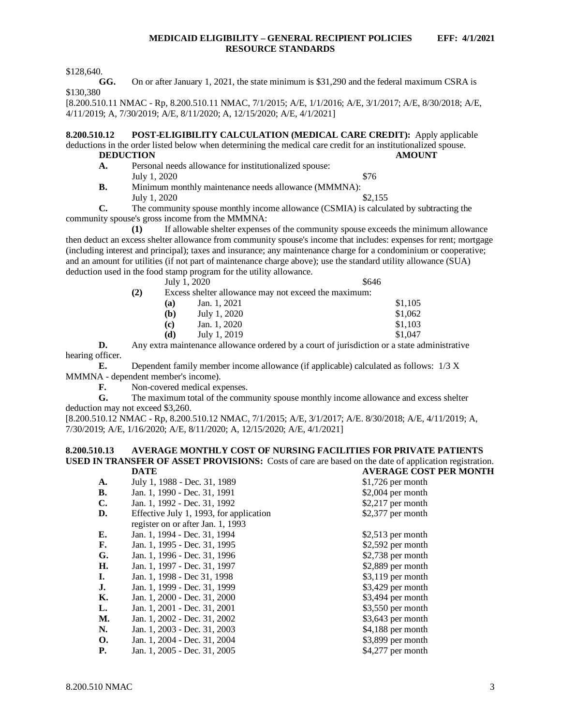\$128,640.

**GG.** On or after January 1, 2021, the state minimum is \$31,290 and the federal maximum CSRA is \$130,380

[8.200.510.11 NMAC - Rp, 8.200.510.11 NMAC, 7/1/2015; A/E, 1/1/2016; A/E, 3/1/2017; A/E, 8/30/2018; A/E, 4/11/2019; A, 7/30/2019; A/E, 8/11/2020; A, 12/15/2020; A/E, 4/1/2021]

<span id="page-3-0"></span>**8.200.510.12 POST-ELIGIBILITY CALCULATION (MEDICAL CARE CREDIT):** Apply applicable deductions in the order listed below when determining the medical care credit for an institutionalized spouse.<br>DEDUCTION AMOUNT **DEDUCTION** 

- **A.** Personal needs allowance for institutionalized spouse: July 1, 2020  $\$76$
- **B.** Minimum monthly maintenance needs allowance (MMMNA): July 1, 2020  $\frac{$2,155}{ }$

**C.** The community spouse monthly income allowance (CSMIA) is calculated by subtracting the community spouse's gross income from the MMMNA:

**(1)** If allowable shelter expenses of the community spouse exceeds the minimum allowance then deduct an excess shelter allowance from community spouse's income that includes: expenses for rent; mortgage (including interest and principal); taxes and insurance; any maintenance charge for a condominium or cooperative; and an amount for utilities (if not part of maintenance charge above); use the standard utility allowance (SUA) deduction used in the food stamp program for the utility allowance.

July  $1, 2020$  \$646

**(2)** Excess shelter allowance may not exceed the maximum:

| (a) | Jan. 1, 2021 | \$1,105 |
|-----|--------------|---------|
| (b) | July 1, 2020 | \$1,062 |
| (c) | Jan. 1, 2020 | \$1,103 |
| (d) | July 1, 2019 | \$1,047 |
|     |              |         |

**D.** Any extra maintenance allowance ordered by a court of jurisdiction or a state administrative hearing officer.

**E.** Dependent family member income allowance (if applicable) calculated as follows: 1/3 X MMMNA - dependent member's income).<br> **F.** Non-covered medical ex

**F.** Non-covered medical expenses.<br>**G.** The maximum total of the comm

The maximum total of the community spouse monthly income allowance and excess shelter deduction may not exceed \$3,260.

[8.200.510.12 NMAC - Rp, 8.200.510.12 NMAC, 7/1/2015; A/E, 3/1/2017; A/E. 8/30/2018; A/E, 4/11/2019; A, 7/30/2019; A/E, 1/16/2020; A/E, 8/11/2020; A, 12/15/2020; A/E, 4/1/2021]

#### <span id="page-3-1"></span>**8.200.510.13 AVERAGE MONTHLY COST OF NURSING FACILITIES FOR PRIVATE PATIENTS USED IN TRANSFER OF ASSET PROVISIONS:** Costs of care are based on the date of application registration.<br> **DATE** AVERAGE COST PER MONTH **DATE AVERAGE COST PER MONTH**

| A.             | July 1, 1988 - Dec. 31, 1989            | $$1,726$ per month |
|----------------|-----------------------------------------|--------------------|
| <b>B.</b>      | Jan. 1, 1990 - Dec. 31, 1991            | $$2,004$ per month |
| $\mathbf{C}$ . | Jan. 1, 1992 - Dec. 31, 1992            | $$2,217$ per month |
| D.             | Effective July 1, 1993, for application | $$2,377$ per month |
|                | register on or after Jan. 1, 1993       |                    |
| Е.             | Jan. 1, 1994 - Dec. 31, 1994            | $$2,513$ per month |
| F.             | Jan. 1, 1995 - Dec. 31, 1995            | \$2,592 per month  |
| G.             | Jan. 1, 1996 - Dec. 31, 1996            | $$2,738$ per month |
| H.             | Jan. 1, 1997 - Dec. 31, 1997            | \$2,889 per month  |
| I.             | Jan. 1, 1998 - Dec 31, 1998             | $$3,119$ per month |
| J.             | Jan. 1, 1999 - Dec. 31, 1999            | $$3,429$ per month |
| К.             | Jan. 1, 2000 - Dec. 31, 2000            | $$3,494$ per month |
| L.             | Jan. 1, 2001 - Dec. 31, 2001            | $$3,550$ per month |
| М.             | Jan. 1, 2002 - Dec. 31, 2002            | \$3,643 per month  |
| N.             | Jan. 1, 2003 - Dec. 31, 2003            | \$4,188 per month  |
| <b>O.</b>      | Jan. 1, 2004 - Dec. 31, 2004            | \$3,899 per month  |
| <b>P.</b>      | Jan. 1, 2005 - Dec. 31, 2005            | \$4,277 per month  |
|                |                                         |                    |